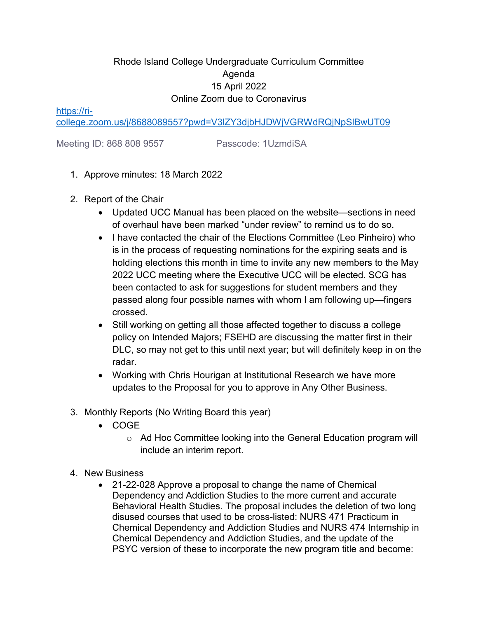## Rhode Island College Undergraduate Curriculum Committee Agenda 15 April 2022 Online Zoom due to Coronavirus

[https://ri-](https://ri-college.zoom.us/j/8688089557?pwd=V3lZY3djbHJDWjVGRWdRQjNpSlBwUT09)

[college.zoom.us/j/8688089557?pwd=V3lZY3djbHJDWjVGRWdRQjNpSlBwUT09](https://ri-college.zoom.us/j/8688089557?pwd=V3lZY3djbHJDWjVGRWdRQjNpSlBwUT09)

Meeting ID: 868 808 9557 Passcode: 1UzmdiSA

- 1. Approve minutes: 18 March 2022
- 2. Report of the Chair
	- Updated UCC Manual has been placed on the website—sections in need of overhaul have been marked "under review" to remind us to do so.
	- I have contacted the chair of the Elections Committee (Leo Pinheiro) who is in the process of requesting nominations for the expiring seats and is holding elections this month in time to invite any new members to the May 2022 UCC meeting where the Executive UCC will be elected. SCG has been contacted to ask for suggestions for student members and they passed along four possible names with whom I am following up—fingers crossed.
	- Still working on getting all those affected together to discuss a college policy on Intended Majors; FSEHD are discussing the matter first in their DLC, so may not get to this until next year; but will definitely keep in on the radar.
	- Working with Chris Hourigan at Institutional Research we have more updates to the Proposal for you to approve in Any Other Business.
- 3. Monthly Reports (No Writing Board this year)
	- COGE
		- o Ad Hoc Committee looking into the General Education program will include an interim report.
- 4. New Business
	- 21-22-028 Approve a proposal to change the name of Chemical Dependency and Addiction Studies to the more current and accurate Behavioral Health Studies. The proposal includes the deletion of two long disused courses that used to be cross-listed: NURS 471 Practicum in Chemical Dependency and Addiction Studies and NURS 474 Internship in Chemical Dependency and Addiction Studies, and the update of the PSYC version of these to incorporate the new program title and become: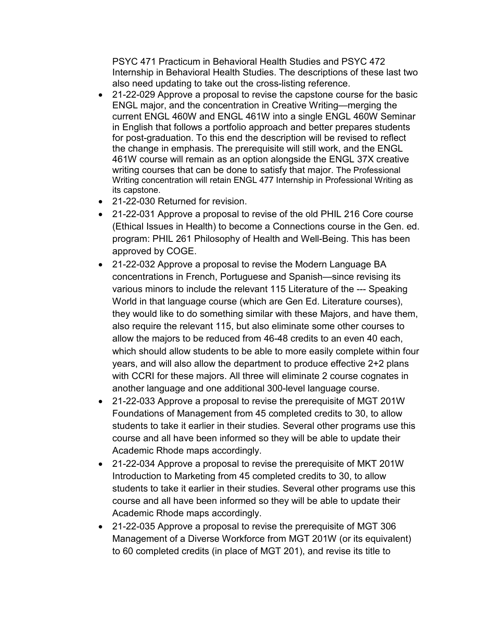PSYC 471 Practicum in Behavioral Health Studies and PSYC 472 Internship in Behavioral Health Studies. The descriptions of these last two also need updating to take out the cross-listing reference.

- 21-22-029 Approve a proposal to revise the capstone course for the basic ENGL major, and the concentration in Creative Writing—merging the current ENGL 460W and ENGL 461W into a single ENGL 460W Seminar in English that follows a portfolio approach and better prepares students for post-graduation. To this end the description will be revised to reflect the change in emphasis. The prerequisite will still work, and the ENGL 461W course will remain as an option alongside the ENGL 37X creative writing courses that can be done to satisfy that major. The Professional Writing concentration will retain ENGL 477 Internship in Professional Writing as its capstone.
- 21-22-030 Returned for revision.
- 21-22-031 Approve a proposal to revise of the old PHIL 216 Core course (Ethical Issues in Health) to become a Connections course in the Gen. ed. program: PHIL 261 Philosophy of Health and Well-Being. This has been approved by COGE.
- 21-22-032 Approve a proposal to revise the Modern Language BA concentrations in French, Portuguese and Spanish—since revising its various minors to include the relevant 115 Literature of the --- Speaking World in that language course (which are Gen Ed. Literature courses), they would like to do something similar with these Majors, and have them, also require the relevant 115, but also eliminate some other courses to allow the majors to be reduced from 46-48 credits to an even 40 each, which should allow students to be able to more easily complete within four years, and will also allow the department to produce effective 2+2 plans with CCRI for these majors. All three will eliminate 2 course cognates in another language and one additional 300-level language course.
- 21-22-033 Approve a proposal to revise the prerequisite of MGT 201W Foundations of Management from 45 completed credits to 30, to allow students to take it earlier in their studies. Several other programs use this course and all have been informed so they will be able to update their Academic Rhode maps accordingly.
- 21-22-034 Approve a proposal to revise the prerequisite of MKT 201W Introduction to Marketing from 45 completed credits to 30, to allow students to take it earlier in their studies. Several other programs use this course and all have been informed so they will be able to update their Academic Rhode maps accordingly.
- 21-22-035 Approve a proposal to revise the prerequisite of MGT 306 Management of a Diverse Workforce from MGT 201W (or its equivalent) to 60 completed credits (in place of MGT 201), and revise its title to